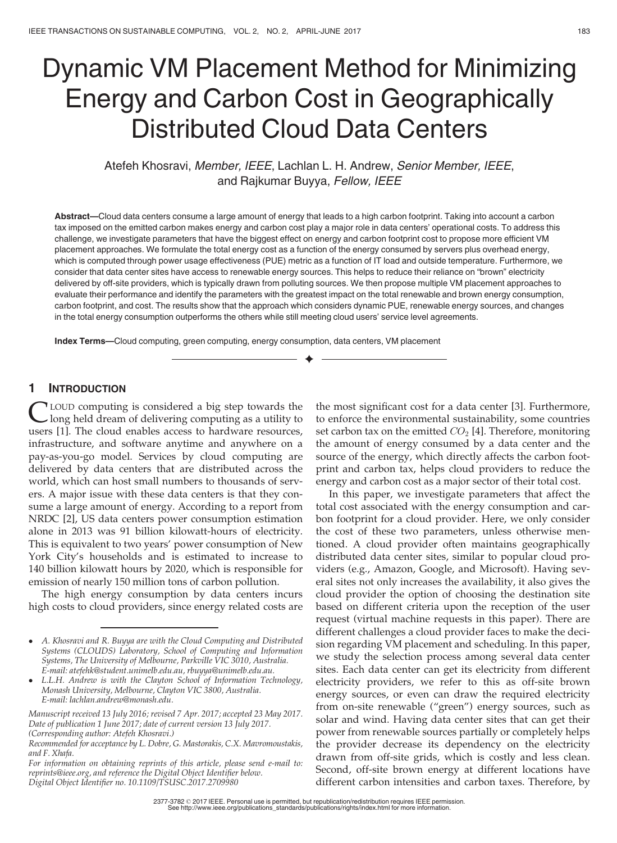# Dynamic VM Placement Method for Minimizing Energy and Carbon Cost in Geographically Distributed Cloud Data Centers

Atefeh Khosravi, Member, IEEE, Lachlan L. H. Andrew, Senior Member, IEEE, and Rajkumar Buyya, Fellow, IEEE

Abstract—Cloud data centers consume a large amount of energy that leads to a high carbon footprint. Taking into account a carbon tax imposed on the emitted carbon makes energy and carbon cost play a major role in data centers' operational costs. To address this challenge, we investigate parameters that have the biggest effect on energy and carbon footprint cost to propose more efficient VM placement approaches. We formulate the total energy cost as a function of the energy consumed by servers plus overhead energy, which is computed through power usage effectiveness (PUE) metric as a function of IT load and outside temperature. Furthermore, we consider that data center sites have access to renewable energy sources. This helps to reduce their reliance on "brown" electricity delivered by off-site providers, which is typically drawn from polluting sources. We then propose multiple VM placement approaches to evaluate their performance and identify the parameters with the greatest impact on the total renewable and brown energy consumption, carbon footprint, and cost. The results show that the approach which considers dynamic PUE, renewable energy sources, and changes in the total energy consumption outperforms the others while still meeting cloud users' service level agreements.

 $\bigstar$ 

Index Terms—Cloud computing, green computing, energy consumption, data centers, VM placement

## 1 INTRODUCTION

CLOUD computing is considered a big step towards the<br>Long held dream of delivering computing as a utility to users [1]. The cloud enables access to hardware resources, infrastructure, and software anytime and anywhere on a pay-as-you-go model. Services by cloud computing are delivered by data centers that are distributed across the world, which can host small numbers to thousands of servers. A major issue with these data centers is that they consume a large amount of energy. According to a report from NRDC [2], US data centers power consumption estimation alone in 2013 was 91 billion kilowatt-hours of electricity. This is equivalent to two years' power consumption of New York City's households and is estimated to increase to 140 billion kilowatt hours by 2020, which is responsible for emission of nearly 150 million tons of carbon pollution.

The high energy consumption by data centers incurs high costs to cloud providers, since energy related costs are the most significant cost for a data center [3]. Furthermore, to enforce the environmental sustainability, some countries set carbon tax on the emitted  $CO<sub>2</sub>$  [4]. Therefore, monitoring the amount of energy consumed by a data center and the source of the energy, which directly affects the carbon footprint and carbon tax, helps cloud providers to reduce the energy and carbon cost as a major sector of their total cost.

In this paper, we investigate parameters that affect the total cost associated with the energy consumption and carbon footprint for a cloud provider. Here, we only consider the cost of these two parameters, unless otherwise mentioned. A cloud provider often maintains geographically distributed data center sites, similar to popular cloud providers (e.g., Amazon, Google, and Microsoft). Having several sites not only increases the availability, it also gives the cloud provider the option of choosing the destination site based on different criteria upon the reception of the user request (virtual machine requests in this paper). There are different challenges a cloud provider faces to make the decision regarding VM placement and scheduling. In this paper, we study the selection process among several data center sites. Each data center can get its electricity from different electricity providers, we refer to this as off-site brown energy sources, or even can draw the required electricity from on-site renewable ("green") energy sources, such as solar and wind. Having data center sites that can get their power from renewable sources partially or completely helps the provider decrease its dependency on the electricity drawn from off-site grids, which is costly and less clean. Second, off-site brown energy at different locations have different carbon intensities and carbon taxes. Therefore, by

A. Khosravi and R. Buyya are with the Cloud Computing and Distributed Systems (CLOUDS) Laboratory, School of Computing and Information Systems, The University of Melbourne, Parkville VIC 3010, Australia. E-mail: atefehk@student.unimelb.edu.au, rbuyya@unimelb.edu.au.

L.L.H. Andrew is with the Clayton School of Information Technology, Monash University, Melbourne, Clayton VIC 3800, Australia. E-mail: lachlan.andrew@monash.edu.

Manuscript received 13 July 2016; revised 7 Apr. 2017; accepted 23 May 2017. Date of publication 1 June 2017; date of current version 13 July 2017. (Corresponding author: Atefeh Khosravi.)

Recommended for acceptance by L. Dobre, G. Mastorakis, C.X. Mavromoustakis, and F. Xhafa.

For information on obtaining reprints of this article, please send e-mail to: reprints@ieee.org, and reference the Digital Object Identifier below. Digital Object Identifier no. 10.1109/TSUSC.2017.2709980

<sup>2377-3782 © 2017</sup> IEEE. Personal use is permitted, but republication/redistribution requires IEEE permission. See http://www.ieee.org/publications\_standards/publications/rights/index.html for more information.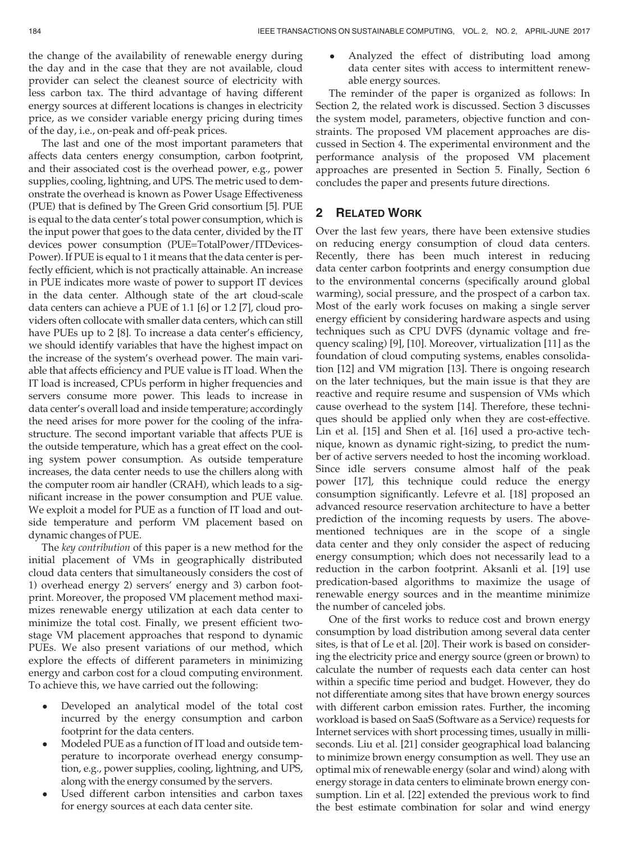the change of the availability of renewable energy during the day and in the case that they are not available, cloud provider can select the cleanest source of electricity with less carbon tax. The third advantage of having different energy sources at different locations is changes in electricity price, as we consider variable energy pricing during times of the day, i.e., on-peak and off-peak prices.

The last and one of the most important parameters that affects data centers energy consumption, carbon footprint, and their associated cost is the overhead power, e.g., power supplies, cooling, lightning, and UPS. The metric used to demonstrate the overhead is known as Power Usage Effectiveness (PUE) that is defined by The Green Grid consortium [5]. PUE is equal to the data center's total power consumption, which is the input power that goes to the data center, divided by the IT devices power consumption (PUE=TotalPower/ITDevices-Power). If PUE is equal to 1 it means that the data center is perfectly efficient, which is not practically attainable. An increase in PUE indicates more waste of power to support IT devices in the data center. Although state of the art cloud-scale data centers can achieve a PUE of 1.1 [6] or 1.2 [7], cloud providers often collocate with smaller data centers, which can still have PUEs up to 2 [8]. To increase a data center's efficiency, we should identify variables that have the highest impact on the increase of the system's overhead power. The main variable that affects efficiency and PUE value is IT load. When the IT load is increased, CPUs perform in higher frequencies and servers consume more power. This leads to increase in data center's overall load and inside temperature; accordingly the need arises for more power for the cooling of the infrastructure. The second important variable that affects PUE is the outside temperature, which has a great effect on the cooling system power consumption. As outside temperature increases, the data center needs to use the chillers along with the computer room air handler (CRAH), which leads to a significant increase in the power consumption and PUE value. We exploit a model for PUE as a function of IT load and outside temperature and perform VM placement based on dynamic changes of PUE.

The key contribution of this paper is a new method for the initial placement of VMs in geographically distributed cloud data centers that simultaneously considers the cost of 1) overhead energy 2) servers' energy and 3) carbon footprint. Moreover, the proposed VM placement method maximizes renewable energy utilization at each data center to minimize the total cost. Finally, we present efficient twostage VM placement approaches that respond to dynamic PUEs. We also present variations of our method, which explore the effects of different parameters in minimizing energy and carbon cost for a cloud computing environment. To achieve this, we have carried out the following:

- Developed an analytical model of the total cost incurred by the energy consumption and carbon footprint for the data centers.
- Modeled PUE as a function of IT load and outside temperature to incorporate overhead energy consumption, e.g., power supplies, cooling, lightning, and UPS, along with the energy consumed by the servers.
- Used different carbon intensities and carbon taxes for energy sources at each data center site.

 Analyzed the effect of distributing load among data center sites with access to intermittent renewable energy sources.

The reminder of the paper is organized as follows: In Section 2, the related work is discussed. Section 3 discusses the system model, parameters, objective function and constraints. The proposed VM placement approaches are discussed in Section 4. The experimental environment and the performance analysis of the proposed VM placement approaches are presented in Section 5. Finally, Section 6 concludes the paper and presents future directions.

# 2 RELATED WORK

Over the last few years, there have been extensive studies on reducing energy consumption of cloud data centers. Recently, there has been much interest in reducing data center carbon footprints and energy consumption due to the environmental concerns (specifically around global warming), social pressure, and the prospect of a carbon tax. Most of the early work focuses on making a single server energy efficient by considering hardware aspects and using techniques such as CPU DVFS (dynamic voltage and frequency scaling) [9], [10]. Moreover, virtualization [11] as the foundation of cloud computing systems, enables consolidation [12] and VM migration [13]. There is ongoing research on the later techniques, but the main issue is that they are reactive and require resume and suspension of VMs which cause overhead to the system [14]. Therefore, these techniques should be applied only when they are cost-effective. Lin et al. [15] and Shen et al. [16] used a pro-active technique, known as dynamic right-sizing, to predict the number of active servers needed to host the incoming workload. Since idle servers consume almost half of the peak power [17], this technique could reduce the energy consumption significantly. Lefevre et al. [18] proposed an advanced resource reservation architecture to have a better prediction of the incoming requests by users. The abovementioned techniques are in the scope of a single data center and they only consider the aspect of reducing energy consumption; which does not necessarily lead to a reduction in the carbon footprint. Aksanli et al. [19] use predication-based algorithms to maximize the usage of renewable energy sources and in the meantime minimize the number of canceled jobs.

One of the first works to reduce cost and brown energy consumption by load distribution among several data center sites, is that of Le et al. [20]. Their work is based on considering the electricity price and energy source (green or brown) to calculate the number of requests each data center can host within a specific time period and budget. However, they do not differentiate among sites that have brown energy sources with different carbon emission rates. Further, the incoming workload is based on SaaS (Software as a Service) requests for Internet services with short processing times, usually in milliseconds. Liu et al. [21] consider geographical load balancing to minimize brown energy consumption as well. They use an optimal mix of renewable energy (solar and wind) along with energy storage in data centers to eliminate brown energy consumption. Lin et al. [22] extended the previous work to find the best estimate combination for solar and wind energy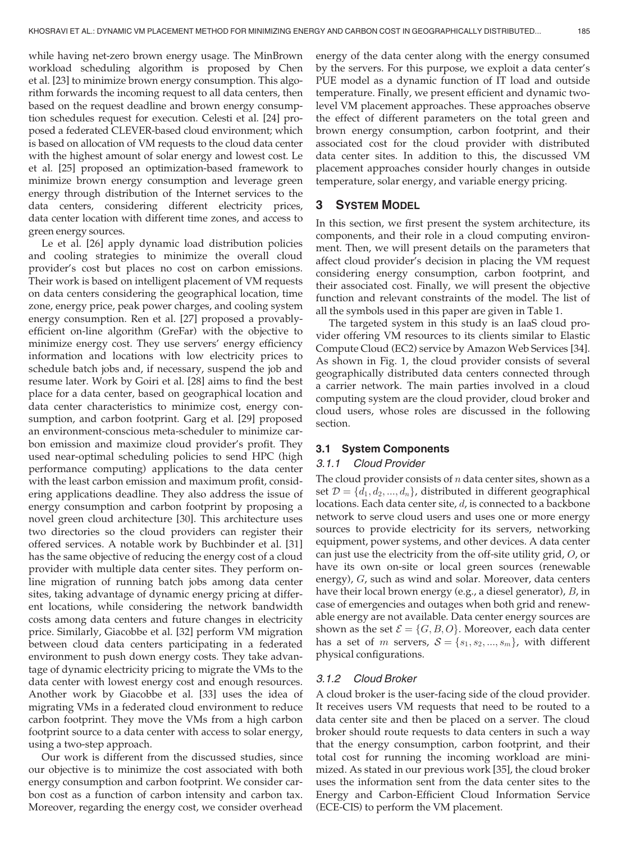while having net-zero brown energy usage. The MinBrown workload scheduling algorithm is proposed by Chen et al. [23] to minimize brown energy consumption. This algorithm forwards the incoming request to all data centers, then based on the request deadline and brown energy consumption schedules request for execution. Celesti et al. [24] proposed a federated CLEVER-based cloud environment; which is based on allocation of VM requests to the cloud data center with the highest amount of solar energy and lowest cost. Le et al. [25] proposed an optimization-based framework to minimize brown energy consumption and leverage green energy through distribution of the Internet services to the data centers, considering different electricity prices, data center location with different time zones, and access to green energy sources.

Le et al. [26] apply dynamic load distribution policies and cooling strategies to minimize the overall cloud provider's cost but places no cost on carbon emissions. Their work is based on intelligent placement of VM requests on data centers considering the geographical location, time zone, energy price, peak power charges, and cooling system energy consumption. Ren et al. [27] proposed a provablyefficient on-line algorithm (GreFar) with the objective to minimize energy cost. They use servers' energy efficiency information and locations with low electricity prices to schedule batch jobs and, if necessary, suspend the job and resume later. Work by Goiri et al. [28] aims to find the best place for a data center, based on geographical location and data center characteristics to minimize cost, energy consumption, and carbon footprint. Garg et al. [29] proposed an environment-conscious meta-scheduler to minimize carbon emission and maximize cloud provider's profit. They used near-optimal scheduling policies to send HPC (high performance computing) applications to the data center with the least carbon emission and maximum profit, considering applications deadline. They also address the issue of energy consumption and carbon footprint by proposing a novel green cloud architecture [30]. This architecture uses two directories so the cloud providers can register their offered services. A notable work by Buchbinder et al. [31] has the same objective of reducing the energy cost of a cloud provider with multiple data center sites. They perform online migration of running batch jobs among data center sites, taking advantage of dynamic energy pricing at different locations, while considering the network bandwidth costs among data centers and future changes in electricity price. Similarly, Giacobbe et al. [32] perform VM migration between cloud data centers participating in a federated environment to push down energy costs. They take advantage of dynamic electricity pricing to migrate the VMs to the data center with lowest energy cost and enough resources. Another work by Giacobbe et al. [33] uses the idea of migrating VMs in a federated cloud environment to reduce carbon footprint. They move the VMs from a high carbon footprint source to a data center with access to solar energy, using a two-step approach.

Our work is different from the discussed studies, since our objective is to minimize the cost associated with both energy consumption and carbon footprint. We consider carbon cost as a function of carbon intensity and carbon tax. Moreover, regarding the energy cost, we consider overhead energy of the data center along with the energy consumed by the servers. For this purpose, we exploit a data center's PUE model as a dynamic function of IT load and outside temperature. Finally, we present efficient and dynamic twolevel VM placement approaches. These approaches observe the effect of different parameters on the total green and brown energy consumption, carbon footprint, and their associated cost for the cloud provider with distributed data center sites. In addition to this, the discussed VM placement approaches consider hourly changes in outside temperature, solar energy, and variable energy pricing.

#### 3 SYSTEM MODEL

In this section, we first present the system architecture, its components, and their role in a cloud computing environment. Then, we will present details on the parameters that affect cloud provider's decision in placing the VM request considering energy consumption, carbon footprint, and their associated cost. Finally, we will present the objective function and relevant constraints of the model. The list of all the symbols used in this paper are given in Table 1.

The targeted system in this study is an IaaS cloud provider offering VM resources to its clients similar to Elastic Compute Cloud (EC2) service by Amazon Web Services [34]. As shown in Fig. 1, the cloud provider consists of several geographically distributed data centers connected through a carrier network. The main parties involved in a cloud computing system are the cloud provider, cloud broker and cloud users, whose roles are discussed in the following section.

#### 3.1 System Components

#### 3.1.1 Cloud Provider

The cloud provider consists of  $n$  data center sites, shown as a set  $\mathcal{D} = \{d_1, d_2, ..., d_n\}$ , distributed in different geographical locations. Each data center site, d, is connected to a backbone network to serve cloud users and uses one or more energy sources to provide electricity for its servers, networking equipment, power systems, and other devices. A data center can just use the electricity from the off-site utility grid, O, or have its own on-site or local green sources (renewable energy), G, such as wind and solar. Moreover, data centers have their local brown energy (e.g., a diesel generator), B, in case of emergencies and outages when both grid and renewable energy are not available. Data center energy sources are shown as the set  $\mathcal{E} = \{G, B, O\}$ . Moreover, each data center has a set of *m* servers,  $S = \{s_1, s_2, ..., s_m\}$ , with different physical configurations.

#### 3.1.2 Cloud Broker

A cloud broker is the user-facing side of the cloud provider. It receives users VM requests that need to be routed to a data center site and then be placed on a server. The cloud broker should route requests to data centers in such a way that the energy consumption, carbon footprint, and their total cost for running the incoming workload are minimized. As stated in our previous work [35], the cloud broker uses the information sent from the data center sites to the Energy and Carbon-Efficient Cloud Information Service (ECE-CIS) to perform the VM placement.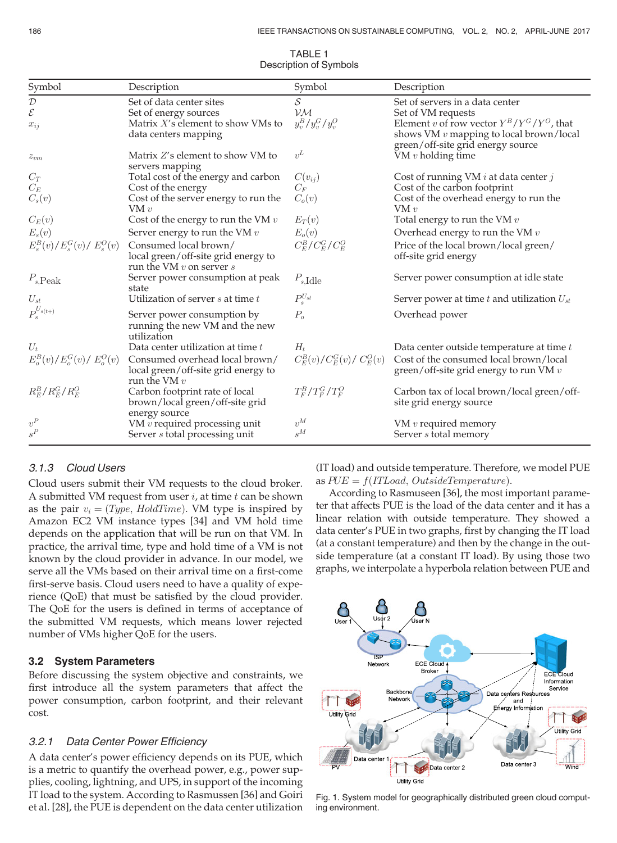| Symbol                       | Description                                  | Symbol                                   | Description                                       |
|------------------------------|----------------------------------------------|------------------------------------------|---------------------------------------------------|
| ${\cal D}$                   | Set of data center sites                     | $\mathcal{S}_{0}$                        | Set of servers in a data center                   |
| Е                            | Set of energy sources                        | $\mathcal{V}\mathcal{M}$                 | Set of VM requests                                |
| $x_{ij}$                     | Matrix $X$ 's element to show VMs to         | $y_v^B/y_v^G/y_v^O$                      | Element v of row vector $Y^B/Y^G/Y^O$ , that      |
|                              | data centers mapping                         |                                          | shows VM v mapping to local brown/local           |
|                              |                                              |                                          | green/off-site grid energy source                 |
| $z_{vm}$                     | Matrix Z's element to show VM to             | $v^L$                                    | VM $v$ holding time                               |
|                              | servers mapping                              |                                          |                                                   |
| $C_T$                        | Total cost of the energy and carbon          | $C(v_{ij})$                              | Cost of running VM $i$ at data center $j$         |
| $C_E$                        | Cost of the energy                           | $C_F$                                    | Cost of the carbon footprint                      |
| $C_s(v)$                     | Cost of the server energy to run the<br>VM v | $C_o(v)$                                 | Cost of the overhead energy to run the<br>VM $v$  |
| $C_E(v)$                     | Cost of the energy to run the VM $v$         | $E_T(v)$                                 | Total energy to run the VM $v$                    |
| $E_s(v)$                     | Server energy to run the VM $v$              | $E_o(v)$                                 | Overhead energy to run the VM $v$                 |
| $E_s^B(v)/E_s^G(v)/E_s^O(v)$ | Consumed local brown/                        | $C_E^B/C_E^G/C_E^O$                      | Price of the local brown/local green/             |
|                              | local green/off-site grid energy to          |                                          | off-site grid energy                              |
|                              | run the VM $v$ on server $s$                 |                                          |                                                   |
| $P_{s,\text{Peak}}$          | Server power consumption at peak             | $P_{s,\text{Idle}}$                      | Server power consumption at idle state            |
|                              | state                                        |                                          |                                                   |
| $\mathcal{U}_{st}$           | Utilization of server $s$ at time $t$        | $P_s^{U_{st}}$                           | Server power at time $t$ and utilization $U_{st}$ |
| $P_s^{U_{s(t+)}}$            | Server power consumption by                  | $P_{o}$                                  | Overhead power                                    |
|                              | running the new VM and the new               |                                          |                                                   |
|                              | utilization                                  |                                          |                                                   |
| $U_t$                        | Data center utilization at time t            | $H_t$                                    | Data center outside temperature at time $t$       |
| $E_o^B(v)/E_o^G(v)/E_o^O(v)$ | Consumed overhead local brown/               | $C_{E}^{B}(v)/C_{E}^{G}(v)/C_{E}^{O}(v)$ | Cost of the consumed local brown/local            |
|                              | local green/off-site grid energy to          |                                          | green/off-site grid energy to run VM $v$          |
|                              | run the VM $v$                               |                                          |                                                   |
| $R_E^B/R_E^G/R_E^O$          | Carbon footprint rate of local               | $T_F^B/T_F^G/T_F^O$                      | Carbon tax of local brown/local green/off-        |
|                              | brown/local green/off-site grid              |                                          | site grid energy source                           |
| $v^P$                        | energy source                                | $v^M$                                    |                                                   |
| $s^{\cal P}$                 | VM v required processing unit                | $s^M$                                    | VM $v$ required memory                            |
|                              | Server s total processing unit               |                                          | Server s total memory                             |

TABLE 1 Description of Symbols

# 3.1.3 Cloud Users

Cloud users submit their VM requests to the cloud broker. A submitted VM request from user  $i$ , at time  $t$  can be shown as the pair  $v_i = (Type, HoldTime)$ . VM type is inspired by Amazon EC2 VM instance types [34] and VM hold time depends on the application that will be run on that VM. In practice, the arrival time, type and hold time of a VM is not known by the cloud provider in advance. In our model, we serve all the VMs based on their arrival time on a first-come first-serve basis. Cloud users need to have a quality of experience (QoE) that must be satisfied by the cloud provider. The QoE for the users is defined in terms of acceptance of the submitted VM requests, which means lower rejected number of VMs higher QoE for the users.

## 3.2 System Parameters

Before discussing the system objective and constraints, we first introduce all the system parameters that affect the power consumption, carbon footprint, and their relevant cost.

## 3.2.1 Data Center Power Efficiency

A data center's power efficiency depends on its PUE, which is a metric to quantify the overhead power, e.g., power supplies, cooling, lightning, and UPS, in support of the incoming IT load to the system. According to Rasmussen [36] and Goiri et al. [28], the PUE is dependent on the data center utilization (IT load) and outside temperature. Therefore, we model PUE as  $PUE = f(ITLoad, OutsideTemperature)$ .

According to Rasmuseen [36], the most important parameter that affects PUE is the load of the data center and it has a linear relation with outside temperature. They showed a data center's PUE in two graphs, first by changing the IT load (at a constant temperature) and then by the change in the outside temperature (at a constant IT load). By using those two graphs, we interpolate a hyperbola relation between PUE and



Fig. 1. System model for geographically distributed green cloud computing environment.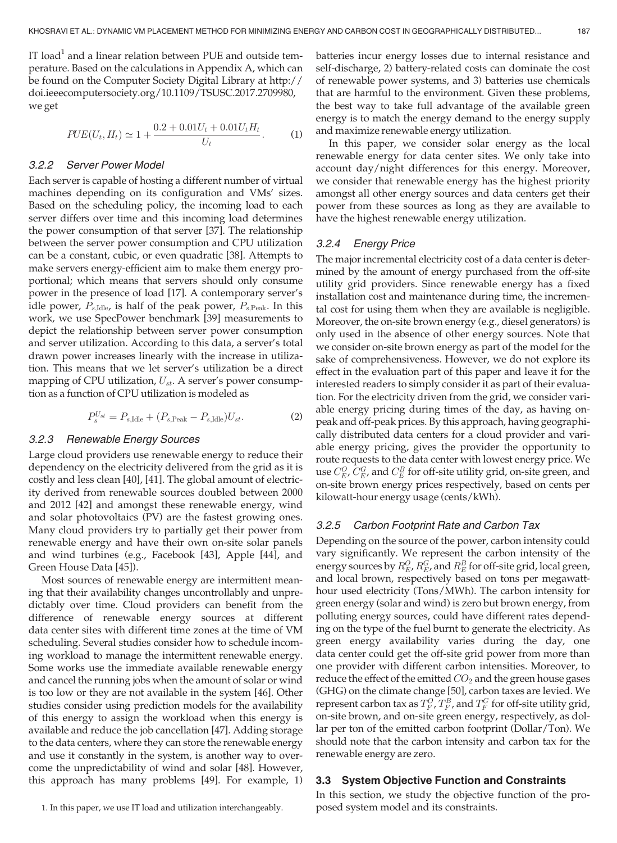IT load<sup>1</sup> and a linear relation between PUE and outside temperature. Based on the calculations in Appendix A, which can be found on the Computer Society Digital Library at http:// doi.ieeecomputersociety.org/10.1109/TSUSC.2017.2709980, we get

$$
PUE(U_t, H_t) \simeq 1 + \frac{0.2 + 0.01U_t + 0.01U_tH_t}{U_t}.
$$
 (1)

#### 3.2.2 Server Power Model

Each server is capable of hosting a different number of virtual machines depending on its configuration and VMs' sizes. Based on the scheduling policy, the incoming load to each server differs over time and this incoming load determines the power consumption of that server [37]. The relationship between the server power consumption and CPU utilization can be a constant, cubic, or even quadratic [38]. Attempts to make servers energy-efficient aim to make them energy proportional; which means that servers should only consume power in the presence of load [17]. A contemporary server's idle power,  $P_{s,\text{Idle}}$  is half of the peak power,  $P_{s,\text{Peak}}$ . In this work, we use SpecPower benchmark [39] measurements to depict the relationship between server power consumption and server utilization. According to this data, a server's total drawn power increases linearly with the increase in utilization. This means that we let server's utilization be a direct mapping of CPU utilization,  $U_{st}$ . A server's power consumption as a function of CPU utilization is modeled as

$$
P_s^{U_{st}} = P_{s,\text{Idle}} + (P_{s,\text{Peak}} - P_{s,\text{Idle}})U_{st}.
$$
 (2)

## 3.2.3 Renewable Energy Sources

Large cloud providers use renewable energy to reduce their dependency on the electricity delivered from the grid as it is costly and less clean [40], [41]. The global amount of electricity derived from renewable sources doubled between 2000 and 2012 [42] and amongst these renewable energy, wind and solar photovoltaics (PV) are the fastest growing ones. Many cloud providers try to partially get their power from renewable energy and have their own on-site solar panels and wind turbines (e.g., Facebook [43], Apple [44], and Green House Data [45]).

Most sources of renewable energy are intermittent meaning that their availability changes uncontrollably and unpredictably over time. Cloud providers can benefit from the difference of renewable energy sources at different data center sites with different time zones at the time of VM scheduling. Several studies consider how to schedule incoming workload to manage the intermittent renewable energy. Some works use the immediate available renewable energy and cancel the running jobs when the amount of solar or wind is too low or they are not available in the system [46]. Other studies consider using prediction models for the availability of this energy to assign the workload when this energy is available and reduce the job cancellation [47]. Adding storage to the data centers, where they can store the renewable energy and use it constantly in the system, is another way to overcome the unpredictability of wind and solar [48]. However, this approach has many problems [49]. For example, 1)

1. In this paper, we use IT load and utilization interchangeably. posed system model and its constraints.

batteries incur energy losses due to internal resistance and self-discharge, 2) battery-related costs can dominate the cost of renewable power systems, and 3) batteries use chemicals that are harmful to the environment. Given these problems, the best way to take full advantage of the available green energy is to match the energy demand to the energy supply and maximize renewable energy utilization.

In this paper, we consider solar energy as the local renewable energy for data center sites. We only take into account day/night differences for this energy. Moreover, we consider that renewable energy has the highest priority amongst all other energy sources and data centers get their power from these sources as long as they are available to have the highest renewable energy utilization.

#### 3.2.4 Energy Price

The major incremental electricity cost of a data center is determined by the amount of energy purchased from the off-site utility grid providers. Since renewable energy has a fixed installation cost and maintenance during time, the incremental cost for using them when they are available is negligible. Moreover, the on-site brown energy (e.g., diesel generators) is only used in the absence of other energy sources. Note that we consider on-site brown energy as part of the model for the sake of comprehensiveness. However, we do not explore its effect in the evaluation part of this paper and leave it for the interested readers to simply consider it as part of their evaluation. For the electricity driven from the grid, we consider variable energy pricing during times of the day, as having onpeak and off-peak prices. By this approach, having geographically distributed data centers for a cloud provider and variable energy pricing, gives the provider the opportunity to route requests to the data center with lowest energy price. We use  $C_{E}^{O}$ ,  $C_{E}^{G}$ , and  $C_{E}^{B}$  for off-site utility grid, on-site green, and on-site brown energy prices respectively, based on cents per kilowatt-hour energy usage (cents/kWh).

#### 3.2.5 Carbon Footprint Rate and Carbon Tax

Depending on the source of the power, carbon intensity could vary significantly. We represent the carbon intensity of the energy sources by  $R^O_E$ ,  $R^G_E$ , and  $R^B_E$  for off-site grid, local green, and local brown, respectively based on tons per megawatthour used electricity (Tons/MWh). The carbon intensity for green energy (solar and wind) is zero but brown energy, from polluting energy sources, could have different rates depending on the type of the fuel burnt to generate the electricity. As green energy availability varies during the day, one data center could get the off-site grid power from more than one provider with different carbon intensities. Moreover, to reduce the effect of the emitted  $CO<sub>2</sub>$  and the green house gases (GHG) on the climate change [50], carbon taxes are levied. We represent carbon tax as  $T_F^O$ ,  $T_F^B$ , and  $T_F^G$  for off-site utility grid, on-site brown, and on-site green energy, respectively, as dollar per ton of the emitted carbon footprint (Dollar/Ton). We should note that the carbon intensity and carbon tax for the renewable energy are zero.

#### 3.3 System Objective Function and Constraints

In this section, we study the objective function of the pro-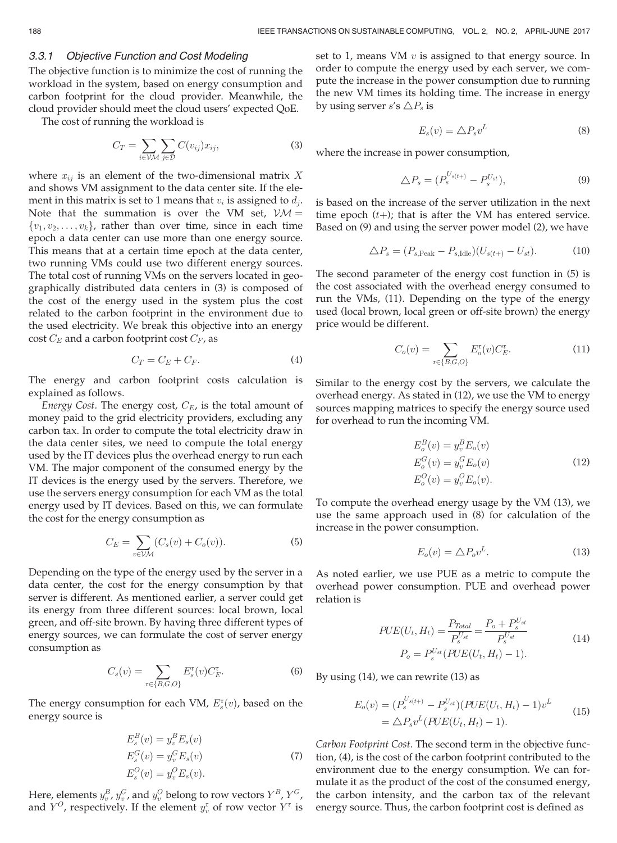## 3.3.1 Objective Function and Cost Modeling

The objective function is to minimize the cost of running the workload in the system, based on energy consumption and carbon footprint for the cloud provider. Meanwhile, the cloud provider should meet the cloud users' expected QoE.

The cost of running the workload is

$$
C_T = \sum_{i \in \mathcal{VM}} \sum_{j \in \mathcal{D}} C(v_{ij}) x_{ij}, \tag{3}
$$

where  $x_{ij}$  is an element of the two-dimensional matrix X and shows VM assignment to the data center site. If the element in this matrix is set to 1 means that  $v_i$  is assigned to  $d_i$ . Note that the summation is over the VM set,  $VM =$  $\{v_1, v_2, \ldots, v_k\}$ , rather than over time, since in each time epoch a data center can use more than one energy source. This means that at a certain time epoch at the data center, two running VMs could use two different energy sources. The total cost of running VMs on the servers located in geographically distributed data centers in (3) is composed of the cost of the energy used in the system plus the cost related to the carbon footprint in the environment due to the used electricity. We break this objective into an energy cost  $C_E$  and a carbon footprint cost  $C_F$ , as

$$
C_T = C_E + C_F. \tag{4}
$$

The energy and carbon footprint costs calculation is explained as follows.

Energy Cost. The energy cost,  $C_E$ , is the total amount of money paid to the grid electricity providers, excluding any carbon tax. In order to compute the total electricity draw in the data center sites, we need to compute the total energy used by the IT devices plus the overhead energy to run each VM. The major component of the consumed energy by the IT devices is the energy used by the servers. Therefore, we use the servers energy consumption for each VM as the total energy used by IT devices. Based on this, we can formulate the cost for the energy consumption as

$$
C_E = \sum_{v \in \mathcal{VM}} (C_s(v) + C_o(v)). \tag{5}
$$

Depending on the type of the energy used by the server in a data center, the cost for the energy consumption by that server is different. As mentioned earlier, a server could get its energy from three different sources: local brown, local green, and off-site brown. By having three different types of energy sources, we can formulate the cost of server energy consumption as

$$
C_s(v) = \sum_{\tau \in \{B, G, O\}} E_s^{\tau}(v) C_E^{\tau}.
$$
 (6)

The energy consumption for each VM,  $E_s^{\tau}(v)$ , based on the energy source is energy source is

$$
E_s^B(v) = y_v^B E_s(v)
$$
  
\n
$$
E_s^G(v) = y_v^G E_s(v)
$$
  
\n
$$
E_s^O(v) = y_v^O E_s(v).
$$
\n(7)

Here, elements  $y_v^B$ ,  $y_v^G$ , and  $y_v^O$  belong to row vectors  $Y^B$ ,  $Y^G$ , and  $Y^O$ , respectively. If the element  $y_v^{\tau}$  of row vector  $Y^{\tau}$  is set to 1, means VM  $v$  is assigned to that energy source. In order to compute the energy used by each server, we compute the increase in the power consumption due to running the new VM times its holding time. The increase in energy by using server s's  $\triangle P_s$  is

$$
E_s(v) = \triangle P_s v^L
$$
 (8)

where the increase in power consumption,

$$
\triangle P_s = (P_s^{U_{s(t+)}} - P_s^{U_{st}}), \tag{9}
$$

is based on the increase of the server utilization in the next time epoch  $(t+)$ ; that is after the VM has entered service. Based on (9) and using the server power model (2), we have

$$
\triangle P_s = (P_{s,\text{Peak}} - P_{s,\text{Idle}})(U_{s(t+)} - U_{st}).\tag{10}
$$

The second parameter of the energy cost function in (5) is the cost associated with the overhead energy consumed to run the VMs, (11). Depending on the type of the energy used (local brown, local green or off-site brown) the energy price would be different.

$$
C_o(v) = \sum_{\tau \in \{B, G, O\}} E_o^{\tau}(v) C_E^{\tau}.
$$
 (11)

Similar to the energy cost by the servers, we calculate the overhead energy. As stated in (12), we use the VM to energy sources mapping matrices to specify the energy source used for overhead to run the incoming VM.

$$
E_o^B(v) = y_v^B E_o(v)
$$
  
\n
$$
E_o^G(v) = y_v^G E_o(v)
$$
  
\n
$$
E_o^O(v) = y_v^O E_o(v).
$$
\n(12)

To compute the overhead energy usage by the VM (13), we use the same approach used in (8) for calculation of the increase in the power consumption.

$$
E_o(v) = \triangle P_o v^L. \tag{13}
$$

As noted earlier, we use PUE as a metric to compute the overhead power consumption. PUE and overhead power relation is

$$
PUE(U_t, H_t) = \frac{P_{Total}}{P_s^{U_{st}}} = \frac{P_o + P_s^{U_{st}}}{P_s^{U_{st}}}
$$
  
\n
$$
P_o = P_s^{U_{st}}(PUE(U_t, H_t) - 1).
$$
\n(14)

By using (14), we can rewrite (13) as

$$
E_o(v) = (P_s^{U_{s(t+)}} - P_s^{U_{st}})(PUE(U_t, H_t) - 1)v^L
$$
  
=  $\triangle P_s v^L(PUE(U_t, H_t) - 1).$  (15)

Carbon Footprint Cost. The second term in the objective function, (4), is the cost of the carbon footprint contributed to the environment due to the energy consumption. We can formulate it as the product of the cost of the consumed energy, the carbon intensity, and the carbon tax of the relevant energy source. Thus, the carbon footprint cost is defined as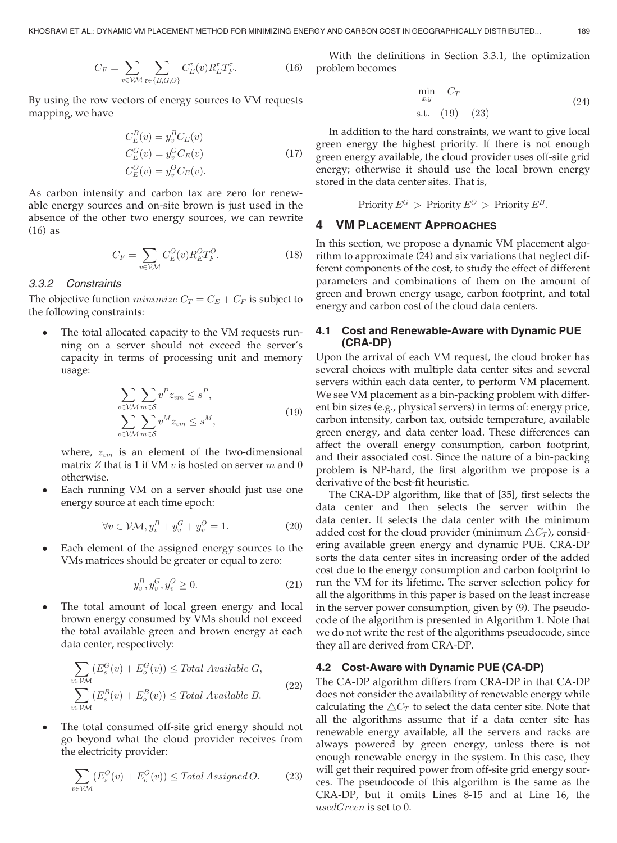$$
C_F = \sum_{v \in \mathcal{VM}} \sum_{\tau \in \{B, G, O\}} C_E^{\tau}(v) R_E^{\tau} T_F^{\tau}.
$$
 (16)

By using the row vectors of energy sources to VM requests mapping, we have

$$
C_E^B(v) = y_v^B C_E(v)
$$
  
\n
$$
C_E^G(v) = y_v^G C_E(v)
$$
  
\n
$$
C_E^O(v) = y_v^O C_E(v).
$$
\n(17)

As carbon intensity and carbon tax are zero for renewable energy sources and on-site brown is just used in the absence of the other two energy sources, we can rewrite (16) as

$$
C_F = \sum_{v \in \mathcal{VM}} C_E^O(v) R_E^O T_F^O.
$$
 (18)

#### 3.3.2 Constraints

The objective function *minimize*  $C_T = C_E + C_F$  is subject to the following constraints:

 The total allocated capacity to the VM requests running on a server should not exceed the server's capacity in terms of processing unit and memory usage:

$$
\sum_{v \in \mathcal{VM}} \sum_{m \in \mathcal{S}} v^P z_{vm} \le s^P,
$$
\n
$$
\sum_{v \in \mathcal{VM}} \sum_{m \in \mathcal{S}} v^M z_{vm} \le s^M,
$$
\n(19)

where,  $z_{vm}$  is an element of the two-dimensional matrix  $Z$  that is 1 if VM  $v$  is hosted on server  $m$  and 0 otherwise.

 Each running VM on a server should just use one energy source at each time epoch:

$$
\forall v \in \mathcal{VM}, y_v^B + y_v^G + y_v^O = 1.
$$
 (20)

 Each element of the assigned energy sources to the VMs matrices should be greater or equal to zero:

$$
y_v^B, y_v^G, y_v^O \ge 0.
$$
 (21)

 The total amount of local green energy and local brown energy consumed by VMs should not exceed the total available green and brown energy at each data center, respectively:

$$
\sum_{v \in \mathcal{VM}} (E_s^G(v) + E_o^G(v)) \le \text{Total Available } G,
$$
\n
$$
\sum_{v \in \mathcal{VM}} (E_s^B(v) + E_o^B(v)) \le \text{Total Available } B.
$$
\n(22)

 The total consumed off-site grid energy should not go beyond what the cloud provider receives from the electricity provider:

$$
\sum_{v \in \mathcal{VM}} (E_s^O(v) + E_o^O(v)) \le \text{Total Assigned } O. \tag{23}
$$

With the definitions in Section 3.3.1, the optimization problem becomes

$$
\min_{x,y} C_T \n \text{s.t.} \quad (19) - (23)
$$
\n(24)

In addition to the hard constraints, we want to give local green energy the highest priority. If there is not enough green energy available, the cloud provider uses off-site grid energy; otherwise it should use the local brown energy stored in the data center sites. That is,

$$
Priority E^G > Priority E^O > Priority E^B.
$$

## 4 VM PLACEMENT APPROACHES

In this section, we propose a dynamic VM placement algorithm to approximate (24) and six variations that neglect different components of the cost, to study the effect of different parameters and combinations of them on the amount of green and brown energy usage, carbon footprint, and total energy and carbon cost of the cloud data centers.

#### 4.1 Cost and Renewable-Aware with Dynamic PUE (CRA-DP)

Upon the arrival of each VM request, the cloud broker has several choices with multiple data center sites and several servers within each data center, to perform VM placement. We see VM placement as a bin-packing problem with different bin sizes (e.g., physical servers) in terms of: energy price, carbon intensity, carbon tax, outside temperature, available green energy, and data center load. These differences can affect the overall energy consumption, carbon footprint, and their associated cost. Since the nature of a bin-packing problem is NP-hard, the first algorithm we propose is a derivative of the best-fit heuristic.

The CRA-DP algorithm, like that of [35], first selects the data center and then selects the server within the data center. It selects the data center with the minimum added cost for the cloud provider (minimum  $\triangle C_T$ ), considering available green energy and dynamic PUE. CRA-DP sorts the data center sites in increasing order of the added cost due to the energy consumption and carbon footprint to run the VM for its lifetime. The server selection policy for all the algorithms in this paper is based on the least increase in the server power consumption, given by (9). The pseudocode of the algorithm is presented in Algorithm 1. Note that we do not write the rest of the algorithms pseudocode, since they all are derived from CRA-DP.

#### 4.2 Cost-Aware with Dynamic PUE (CA-DP)

The CA-DP algorithm differs from CRA-DP in that CA-DP does not consider the availability of renewable energy while calculating the  $\triangle C_T$  to select the data center site. Note that all the algorithms assume that if a data center site has renewable energy available, all the servers and racks are always powered by green energy, unless there is not enough renewable energy in the system. In this case, they will get their required power from off-site grid energy sources. The pseudocode of this algorithm is the same as the CRA-DP, but it omits Lines 8-15 and at Line 16, the usedGreen is set to 0.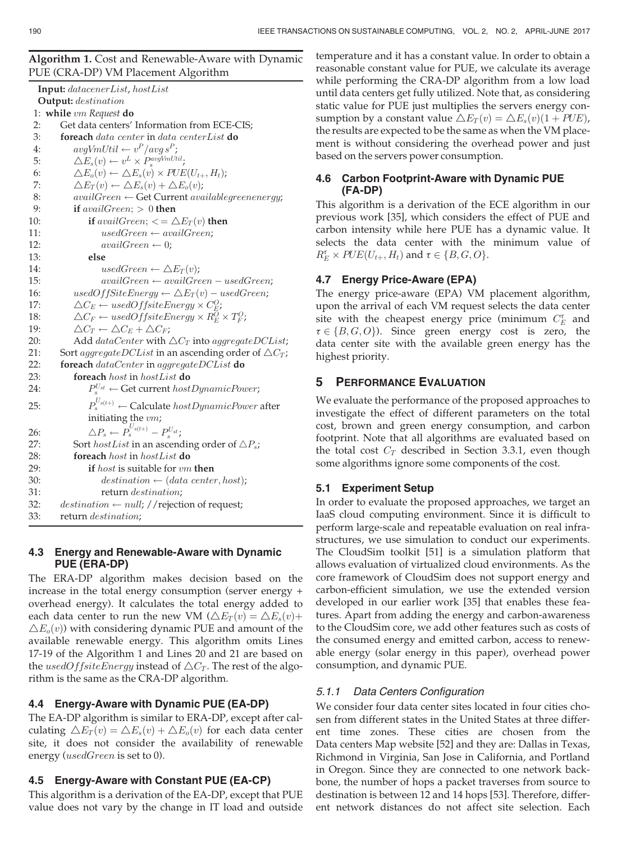# Algorithm 1. Cost and Renewable-Aware with Dynamic PUE (CRA-DP) VM Placement Algorithm

Input: datacenerList, hostList Output: destination 1: while vm Request do 2: Get data centers' Information from ECE-CIS;<br>3: **foreach** data center in data centerList **do foreach** data center in data centerList **do**<br> $avgVmUtil \leftarrow v^P/avg s^P;$ 4:  $avgVmUtil \leftarrow v^P/avg s^P;$ <br>5.  $\wedge E(v) \leftarrow v^L \times P^{avgVmUlt}$ 5:  $\Delta E_s(v) \leftarrow v^L \times P_s^{avgVmUtil}$ ;<br>
6:  $\Delta E_s(v) \leftarrow \Delta E_s(v) \times PIIF_s$ 6:  $\Delta E_o(v) \leftarrow \Delta E_s(v) \times PUE(U_{t+}, H_t);$ <br>7:  $\Delta E_T(v) \leftarrow \Delta E_s(v) + \Delta E_o(v);$ 7:  $\Delta E_T(v) \leftarrow \Delta E_s(v) + \Delta E_o(v);$ <br>8: availGreen  $\leftarrow$  Get Current ava 8:  $available green erg;$ <br>9:  $if *available green* = 0$  if availGreen:  $\geq 0$  then if  $available$ :  $> 0$  then 10: **if**  $available$   $i \leq \Delta E_T(v)$  **then**<br>11:  $usedGreen \leftarrow availGreen$ : 11:  $usedGreen \leftarrow available$ <br>12:  $available \leftarrow 0$ 12:  $available$   $available$   $0;$ <br>13:  $else$ else 14:  $usedGreen \leftarrow \Delta E_T(v);$ <br>
15:  $available$   $available$   $available$ 15: availGreen availGreen usedGreen; 16: usedOffSiteEnergy  $\leftarrow \Delta E_T(v) - usedGreen;$ <br>17:  $\Delta C_F \leftarrow usedOffsiteEnergy \times C_F^O;$  $17: \Delta C_E \leftarrow usedOffsiteEnergy \times C_E^O;$ <br>  $18: \Delta C_E \leftarrow usedOffsiteEnergy \times R^O.$ 18:  $\Delta C_F \leftarrow \text{usedOf}$ fsiteEnergy  $\times R_E^O \times T_F^O$ ;<br>19:  $\Delta C_F \leftarrow \Delta C_F + \Delta C_F$ ; 19:  $\triangle C_T \leftarrow \triangle C_E + \triangle C_F;$ <br>20: Add *dataCenter* with  $\angle$ Add dataCenter with  $\triangle C_T$  into aggregateDCList; 21: Sort *aggregateDCList* in an ascending order of  $\triangle C_T$ ;<br>22: **foreach** *dataCenter* in *aggregateDCList* **do** foreach dataCenter in aggregateDCList do 23: foreach host in hostList do 24:  $P_s^{U_{st}} \leftarrow$  Get current host DynamicPower;<br>25:  $P_s^{U_{st(+)}} \leftarrow$  Calculate host DynamicPower 25:  $P_s^{U_{s(t+)}} \leftarrow \text{Calculate } hostDynamicPower \text{ after }$ <br>initiating the *um*: initiating the vm; 26:  $\Delta P_s \leftarrow P_s^{U_{s(t+)}} - P_s^{U_{st}};$ <br>27: Sort host List in an ascend 27: Sort *host List* in an ascending order of  $\triangle P_s$ ;<br>28: **for each** *host* in *host List* **do** foreach host in hostList do 29: **if** host is suitable for  $vm$  **then** 30: destination  $\leftarrow$  (data center, host);<br>31: return destination: return destination; 32: destination  $\leftarrow$  null; //rejection of request;<br>33: return destination; return destination;

## 4.3 Energy and Renewable-Aware with Dynamic PUE (ERA-DP)

The ERA-DP algorithm makes decision based on the increase in the total energy consumption (server energy + overhead energy). It calculates the total energy added to each data center to run the new VM  $(\triangle E_T(v) = \triangle E_s(v) +$  $\Delta E_o(v)$ ) with considering dynamic PUE and amount of the available renewable energy. This algorithm omits Lines 17-19 of the Algorithm 1 and Lines 20 and 21 are based on the usedOffsiteEnergy instead of  $\triangle C_T$ . The rest of the algorithm is the same as the CRA-DP algorithm.

## 4.4 Energy-Aware with Dynamic PUE (EA-DP)

The EA-DP algorithm is similar to ERA-DP, except after calculating  $\Delta E_T(v) = \Delta E_s(v) + \Delta E_o(v)$  for each data center site, it does not consider the availability of renewable energy (*usedGreen* is set to 0).

## 4.5 Energy-Aware with Constant PUE (EA-CP)

This algorithm is a derivation of the EA-DP, except that PUE value does not vary by the change in IT load and outside

temperature and it has a constant value. In order to obtain a reasonable constant value for PUE, we calculate its average while performing the CRA-DP algorithm from a low load until data centers get fully utilized. Note that, as considering static value for PUE just multiplies the servers energy consumption by a constant value  $\triangle E_T(v) = \triangle E_s(v)(1 + PUE)$ , the results are expected to be the same as when the VM placement is without considering the overhead power and just based on the servers power consumption.

## 4.6 Carbon Footprint-Aware with Dynamic PUE (FA-DP)

This algorithm is a derivation of the ECE algorithm in our previous work [35], which considers the effect of PUE and carbon intensity while here PUE has a dynamic value. It selects the data center with the minimum value of  $R_E^{\tau} \times PUE(U_{t+}, H_t)$  and  $\tau \in \{B, G, O\}.$ 

## 4.7 Energy Price-Aware (EPA)

The energy price-aware (EPA) VM placement algorithm, upon the arrival of each VM request selects the data center site with the cheapest energy price (minimum  $C_E^{\tau}$  and  $\tau \in \{B, G, O\}$ ). Since green energy cost is zero, the data center site with the available green energy has the highest priority.

## 5 PERFORMANCE EVALUATION

We evaluate the performance of the proposed approaches to investigate the effect of different parameters on the total cost, brown and green energy consumption, and carbon footprint. Note that all algorithms are evaluated based on the total cost  $C_T$  described in Section 3.3.1, even though some algorithms ignore some components of the cost.

## 5.1 Experiment Setup

In order to evaluate the proposed approaches, we target an IaaS cloud computing environment. Since it is difficult to perform large-scale and repeatable evaluation on real infrastructures, we use simulation to conduct our experiments. The CloudSim toolkit [51] is a simulation platform that allows evaluation of virtualized cloud environments. As the core framework of CloudSim does not support energy and carbon-efficient simulation, we use the extended version developed in our earlier work [35] that enables these features. Apart from adding the energy and carbon-awareness to the CloudSim core, we add other features such as costs of the consumed energy and emitted carbon, access to renewable energy (solar energy in this paper), overhead power consumption, and dynamic PUE.

#### 5.1.1 Data Centers Configuration

We consider four data center sites located in four cities chosen from different states in the United States at three different time zones. These cities are chosen from the Data centers Map website [52] and they are: Dallas in Texas, Richmond in Virginia, San Jose in California, and Portland in Oregon. Since they are connected to one network backbone, the number of hops a packet traverses from source to destination is between 12 and 14 hops [53]. Therefore, different network distances do not affect site selection. Each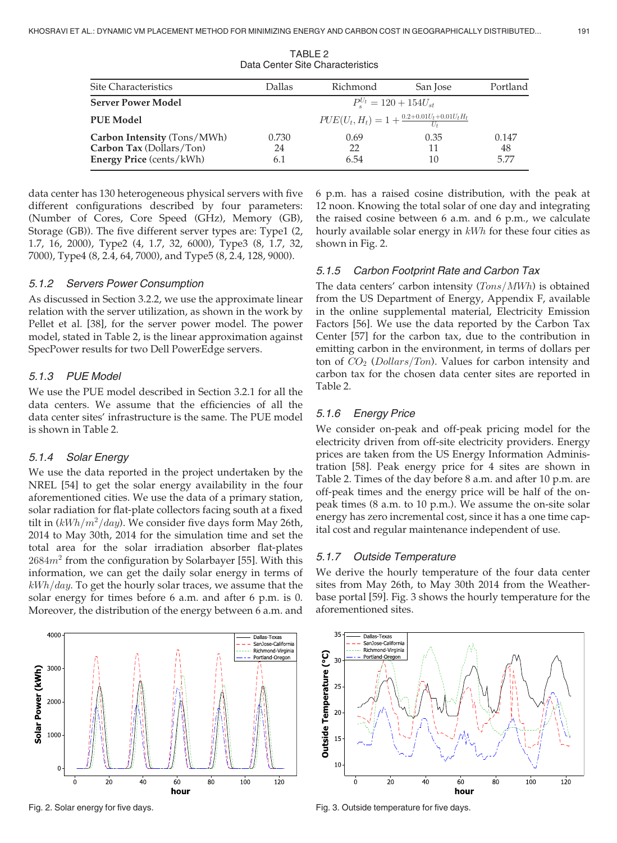| <b>Site Characteristics</b>                                                                | Dallas                                                       | Richmond           | San Jose   | Portland            |
|--------------------------------------------------------------------------------------------|--------------------------------------------------------------|--------------------|------------|---------------------|
| <b>Server Power Model</b>                                                                  | $P_c^{U_t} = 120 + 154U_{st}$                                |                    |            |                     |
| <b>PUE Model</b>                                                                           | $PUE(U_t, H_t) = 1 + \frac{0.2 + 0.01U_t + 0.01U_tH_t}{I_t}$ |                    |            |                     |
| Carbon Intensity (Tons/MWh)<br>Carbon Tax (Dollars/Ton)<br><b>Energy Price</b> (cents/kWh) | 0.730<br>24<br>6.1                                           | 0.69<br>22<br>6.54 | 0.35<br>10 | 0.147<br>48<br>5.77 |

TABLE 2 Data Center Site Characteristics

data center has 130 heterogeneous physical servers with five different configurations described by four parameters: (Number of Cores, Core Speed (GHz), Memory (GB), Storage (GB)). The five different server types are: Type1 (2, 1.7, 16, 2000), Type2 (4, 1.7, 32, 6000), Type3 (8, 1.7, 32, 7000), Type4 (8, 2.4, 64, 7000), and Type5 (8, 2.4, 128, 9000).

## 5.1.2 Servers Power Consumption

As discussed in Section 3.2.2, we use the approximate linear relation with the server utilization, as shown in the work by Pellet et al. [38], for the server power model. The power model, stated in Table 2, is the linear approximation against SpecPower results for two Dell PowerEdge servers.

#### 5.1.3 PUE Model

We use the PUE model described in Section 3.2.1 for all the data centers. We assume that the efficiencies of all the data center sites' infrastructure is the same. The PUE model is shown in Table 2.

## 5.1.4 Solar Energy

We use the data reported in the project undertaken by the NREL [54] to get the solar energy availability in the four aforementioned cities. We use the data of a primary station, solar radiation for flat-plate collectors facing south at a fixed tilt in  $(kWh/m^2/day)$ . We consider five days form May 26th, 2014 to May 30th, 2014 for the simulation time and set the total area for the solar irradiation absorber flat-plates  $2684m<sup>2</sup>$  from the configuration by Solarbayer [55]. With this information, we can get the daily solar energy in terms of  $kWh/day$ . To get the hourly solar traces, we assume that the solar energy for times before 6 a.m. and after 6 p.m. is 0. Moreover, the distribution of the energy between 6 a.m. and



6 p.m. has a raised cosine distribution, with the peak at 12 noon. Knowing the total solar of one day and integrating the raised cosine between 6 a.m. and 6 p.m., we calculate hourly available solar energy in kWh for these four cities as shown in Fig. 2.

#### 5.1.5 Carbon Footprint Rate and Carbon Tax

The data centers' carbon intensity  $(Tons/MWh)$  is obtained from the US Department of Energy, Appendix F, available in the online supplemental material, Electricity Emission Factors [56]. We use the data reported by the Carbon Tax Center [57] for the carbon tax, due to the contribution in emitting carbon in the environment, in terms of dollars per ton of  $CO_2$  (Dollars/Ton). Values for carbon intensity and carbon tax for the chosen data center sites are reported in Table 2.

## 5.1.6 Energy Price

We consider on-peak and off-peak pricing model for the electricity driven from off-site electricity providers. Energy prices are taken from the US Energy Information Administration [58]. Peak energy price for 4 sites are shown in Table 2. Times of the day before 8 a.m. and after 10 p.m. are off-peak times and the energy price will be half of the onpeak times (8 a.m. to 10 p.m.). We assume the on-site solar energy has zero incremental cost, since it has a one time capital cost and regular maintenance independent of use.

#### 5.1.7 Outside Temperature

We derive the hourly temperature of the four data center sites from May 26th, to May 30th 2014 from the Weatherbase portal [59]. Fig. 3 shows the hourly temperature for the aforementioned sites.



Fig. 2. Solar energy for five days. The state of five days. Fig. 3. Outside temperature for five days.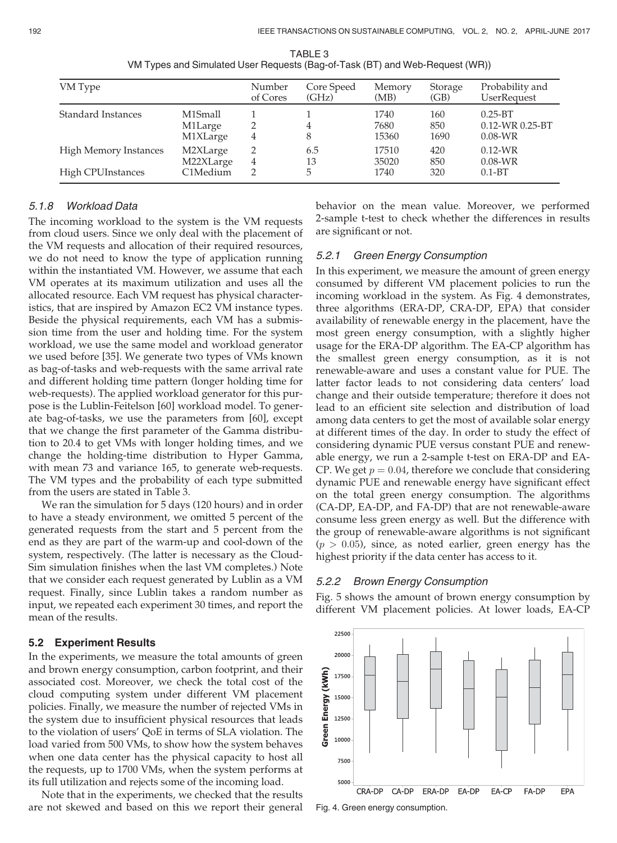| VM Type                                                  |                                   | Number<br>of Cores | Core Speed<br>(GHz) | Memory<br>(MB)         | Storage<br>(GB)    | Probability and<br><b>UserRequest</b>             |
|----------------------------------------------------------|-----------------------------------|--------------------|---------------------|------------------------|--------------------|---------------------------------------------------|
| Standard Instances                                       | M1Small<br>M1Large<br>M1XLarge    | 4                  | 4<br>8              | 1740<br>7680<br>15360  | 160<br>850<br>1690 | $0.25 - BT$<br>$0.12$ -WR $0.25$ -BT<br>$0.08-WR$ |
| <b>High Memory Instances</b><br><b>High CPUInstances</b> | M2XLarge<br>M22XLarge<br>C1Medium | 4                  | 6.5<br>13<br>5.     | 17510<br>35020<br>1740 | 420<br>850<br>320  | $0.12-WR$<br>$0.08-WR$<br>$0.1 - BT$              |

TABLE 3 VM Types and Simulated User Requests (Bag-of-Task (BT) and Web-Request (WR))

## 5.1.8 Workload Data

The incoming workload to the system is the VM requests from cloud users. Since we only deal with the placement of the VM requests and allocation of their required resources, we do not need to know the type of application running within the instantiated VM. However, we assume that each VM operates at its maximum utilization and uses all the allocated resource. Each VM request has physical characteristics, that are inspired by Amazon EC2 VM instance types. Beside the physical requirements, each VM has a submission time from the user and holding time. For the system workload, we use the same model and workload generator we used before [35]. We generate two types of VMs known as bag-of-tasks and web-requests with the same arrival rate and different holding time pattern (longer holding time for web-requests). The applied workload generator for this purpose is the Lublin-Feitelson [60] workload model. To generate bag-of-tasks, we use the parameters from [60], except that we change the first parameter of the Gamma distribution to 20.4 to get VMs with longer holding times, and we change the holding-time distribution to Hyper Gamma, with mean 73 and variance 165, to generate web-requests. The VM types and the probability of each type submitted from the users are stated in Table 3.

We ran the simulation for 5 days (120 hours) and in order to have a steady environment, we omitted 5 percent of the generated requests from the start and 5 percent from the end as they are part of the warm-up and cool-down of the system, respectively. (The latter is necessary as the Cloud-Sim simulation finishes when the last VM completes.) Note that we consider each request generated by Lublin as a VM request. Finally, since Lublin takes a random number as input, we repeated each experiment 30 times, and report the mean of the results.

## 5.2 Experiment Results

In the experiments, we measure the total amounts of green and brown energy consumption, carbon footprint, and their associated cost. Moreover, we check the total cost of the cloud computing system under different VM placement policies. Finally, we measure the number of rejected VMs in the system due to insufficient physical resources that leads to the violation of users' QoE in terms of SLA violation. The load varied from 500 VMs, to show how the system behaves when one data center has the physical capacity to host all the requests, up to 1700 VMs, when the system performs at its full utilization and rejects some of the incoming load.

Note that in the experiments, we checked that the results are not skewed and based on this we report their general behavior on the mean value. Moreover, we performed 2-sample t-test to check whether the differences in results are significant or not.

## 5.2.1 Green Energy Consumption

In this experiment, we measure the amount of green energy consumed by different VM placement policies to run the incoming workload in the system. As Fig. 4 demonstrates, three algorithms (ERA-DP, CRA-DP, EPA) that consider availability of renewable energy in the placement, have the most green energy consumption, with a slightly higher usage for the ERA-DP algorithm. The EA-CP algorithm has the smallest green energy consumption, as it is not renewable-aware and uses a constant value for PUE. The latter factor leads to not considering data centers' load change and their outside temperature; therefore it does not lead to an efficient site selection and distribution of load among data centers to get the most of available solar energy at different times of the day. In order to study the effect of considering dynamic PUE versus constant PUE and renewable energy, we run a 2-sample t-test on ERA-DP and EA-CP. We get  $p = 0.04$ , therefore we conclude that considering dynamic PUE and renewable energy have significant effect on the total green energy consumption. The algorithms (CA-DP, EA-DP, and FA-DP) that are not renewable-aware consume less green energy as well. But the difference with the group of renewable-aware algorithms is not significant  $(p > 0.05)$ , since, as noted earlier, green energy has the highest priority if the data center has access to it.

#### 5.2.2 Brown Energy Consumption

Fig. 5 shows the amount of brown energy consumption by different VM placement policies. At lower loads, EA-CP



Fig. 4. Green energy consumption.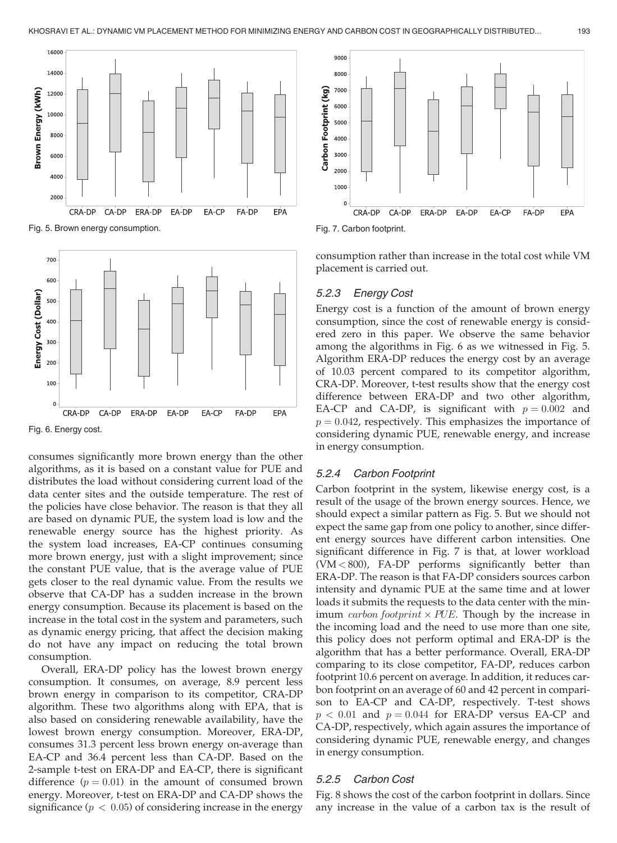

Fig. 5. Brown energy consumption.



Fig. 6. Energy cost.

consumes significantly more brown energy than the other algorithms, as it is based on a constant value for PUE and distributes the load without considering current load of the data center sites and the outside temperature. The rest of the policies have close behavior. The reason is that they all are based on dynamic PUE, the system load is low and the renewable energy source has the highest priority. As the system load increases, EA-CP continues consuming more brown energy, just with a slight improvement; since the constant PUE value, that is the average value of PUE gets closer to the real dynamic value. From the results we observe that CA-DP has a sudden increase in the brown energy consumption. Because its placement is based on the increase in the total cost in the system and parameters, such as dynamic energy pricing, that affect the decision making do not have any impact on reducing the total brown consumption.

Overall, ERA-DP policy has the lowest brown energy consumption. It consumes, on average, 8.9 percent less brown energy in comparison to its competitor, CRA-DP algorithm. These two algorithms along with EPA, that is also based on considering renewable availability, have the lowest brown energy consumption. Moreover, ERA-DP, consumes 31.3 percent less brown energy on-average than EA-CP and 36.4 percent less than CA-DP. Based on the 2-sample t-test on ERA-DP and EA-CP, there is significant difference  $(p = 0.01)$  in the amount of consumed brown energy. Moreover, t-test on ERA-DP and CA-DP shows the significance ( $p < 0.05$ ) of considering increase in the energy



Fig. 7. Carbon footprint.

consumption rather than increase in the total cost while VM placement is carried out.

#### 5.2.3 Energy Cost

Energy cost is a function of the amount of brown energy consumption, since the cost of renewable energy is considered zero in this paper. We observe the same behavior among the algorithms in Fig. 6 as we witnessed in Fig. 5. Algorithm ERA-DP reduces the energy cost by an average of 10.03 percent compared to its competitor algorithm, CRA-DP. Moreover, t-test results show that the energy cost difference between ERA-DP and two other algorithm, EA-CP and CA-DP, is significant with  $p = 0.002$  and  $p = 0.042$ , respectively. This emphasizes the importance of considering dynamic PUE, renewable energy, and increase in energy consumption.

#### 5.2.4 Carbon Footprint

Carbon footprint in the system, likewise energy cost, is a result of the usage of the brown energy sources. Hence, we should expect a similar pattern as Fig. 5. But we should not expect the same gap from one policy to another, since different energy sources have different carbon intensities. One significant difference in Fig. 7 is that, at lower workload (VM < 800), FA-DP performs significantly better than ERA-DP. The reason is that FA-DP considers sources carbon intensity and dynamic PUE at the same time and at lower loads it submits the requests to the data center with the minimum *carbon footprint*  $\times$  *PUE*. Though by the increase in the incoming load and the need to use more than one site, this policy does not perform optimal and ERA-DP is the algorithm that has a better performance. Overall, ERA-DP comparing to its close competitor, FA-DP, reduces carbon footprint 10.6 percent on average. In addition, it reduces carbon footprint on an average of 60 and 42 percent in comparison to EA-CP and CA-DP, respectively. T-test shows  $p < 0.01$  and  $p = 0.044$  for ERA-DP versus EA-CP and CA-DP, respectively, which again assures the importance of considering dynamic PUE, renewable energy, and changes in energy consumption.

#### 5.2.5 Carbon Cost

Fig. 8 shows the cost of the carbon footprint in dollars. Since any increase in the value of a carbon tax is the result of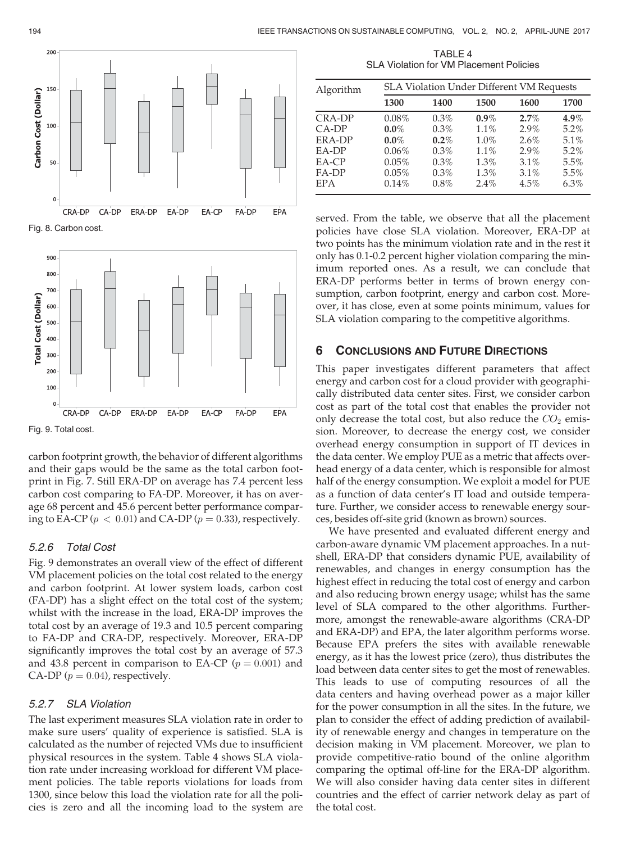

Fig. 8. Carbon cost.



Fig. 9. Total cost.

carbon footprint growth, the behavior of different algorithms and their gaps would be the same as the total carbon footprint in Fig. 7. Still ERA-DP on average has 7.4 percent less carbon cost comparing to FA-DP. Moreover, it has on average 68 percent and 45.6 percent better performance comparing to EA-CP ( $p < 0.01$ ) and CA-DP ( $p = 0.33$ ), respectively.

## 5.2.6 Total Cost

Fig. 9 demonstrates an overall view of the effect of different VM placement policies on the total cost related to the energy and carbon footprint. At lower system loads, carbon cost (FA-DP) has a slight effect on the total cost of the system; whilst with the increase in the load, ERA-DP improves the total cost by an average of 19.3 and 10.5 percent comparing to FA-DP and CRA-DP, respectively. Moreover, ERA-DP significantly improves the total cost by an average of 57.3 and 43.8 percent in comparison to EA-CP ( $p = 0.001$ ) and CA-DP ( $p = 0.04$ ), respectively.

## 5.2.7 SLA Violation

The last experiment measures SLA violation rate in order to make sure users' quality of experience is satisfied. SLA is calculated as the number of rejected VMs due to insufficient physical resources in the system. Table 4 shows SLA violation rate under increasing workload for different VM placement policies. The table reports violations for loads from 1300, since below this load the violation rate for all the policies is zero and all the incoming load to the system are

TABLE 4 SLA Violation for VM Placement Policies

| Algorithm  | SLA Violation Under Different VM Requests |         |         |      |         |  |
|------------|-------------------------------------------|---------|---------|------|---------|--|
|            | 1300                                      | 1400    | 1500    | 1600 | 1700    |  |
| CRA-DP     | 0.08%                                     | 0.3%    | $0.9\%$ | 2.7% | $4.9\%$ |  |
| $CA-DP$    | $0.0\%$                                   | $0.3\%$ | $1.1\%$ | 2.9% | 5.2%    |  |
| ERA-DP     | $0.0\%$                                   | $0.2\%$ | 1.0%    | 2.6% | 5.1%    |  |
| EA-DP      | 0.06%                                     | 0.3%    | 1.1%    | 2.9% | 5.2%    |  |
| $EA-CP$    | 0.05%                                     | 0.3%    | 1.3%    | 3.1% | 5.5%    |  |
| FA-DP      | 0.05%                                     | 0.3%    | 1.3%    | 3.1% | 5.5%    |  |
| <b>EPA</b> | 0.14%                                     | 0.8%    | 2.4%    | 4.5% | 6.3%    |  |

served. From the table, we observe that all the placement policies have close SLA violation. Moreover, ERA-DP at two points has the minimum violation rate and in the rest it only has 0.1-0.2 percent higher violation comparing the minimum reported ones. As a result, we can conclude that ERA-DP performs better in terms of brown energy consumption, carbon footprint, energy and carbon cost. Moreover, it has close, even at some points minimum, values for SLA violation comparing to the competitive algorithms.

# 6 CONCLUSIONS AND FUTURE DIRECTIONS

This paper investigates different parameters that affect energy and carbon cost for a cloud provider with geographically distributed data center sites. First, we consider carbon cost as part of the total cost that enables the provider not only decrease the total cost, but also reduce the  $CO<sub>2</sub>$  emission. Moreover, to decrease the energy cost, we consider overhead energy consumption in support of IT devices in the data center. We employ PUE as a metric that affects overhead energy of a data center, which is responsible for almost half of the energy consumption. We exploit a model for PUE as a function of data center's IT load and outside temperature. Further, we consider access to renewable energy sources, besides off-site grid (known as brown) sources.

We have presented and evaluated different energy and carbon-aware dynamic VM placement approaches. In a nutshell, ERA-DP that considers dynamic PUE, availability of renewables, and changes in energy consumption has the highest effect in reducing the total cost of energy and carbon and also reducing brown energy usage; whilst has the same level of SLA compared to the other algorithms. Furthermore, amongst the renewable-aware algorithms (CRA-DP and ERA-DP) and EPA, the later algorithm performs worse. Because EPA prefers the sites with available renewable energy, as it has the lowest price (zero), thus distributes the load between data center sites to get the most of renewables. This leads to use of computing resources of all the data centers and having overhead power as a major killer for the power consumption in all the sites. In the future, we plan to consider the effect of adding prediction of availability of renewable energy and changes in temperature on the decision making in VM placement. Moreover, we plan to provide competitive-ratio bound of the online algorithm comparing the optimal off-line for the ERA-DP algorithm. We will also consider having data center sites in different countries and the effect of carrier network delay as part of the total cost.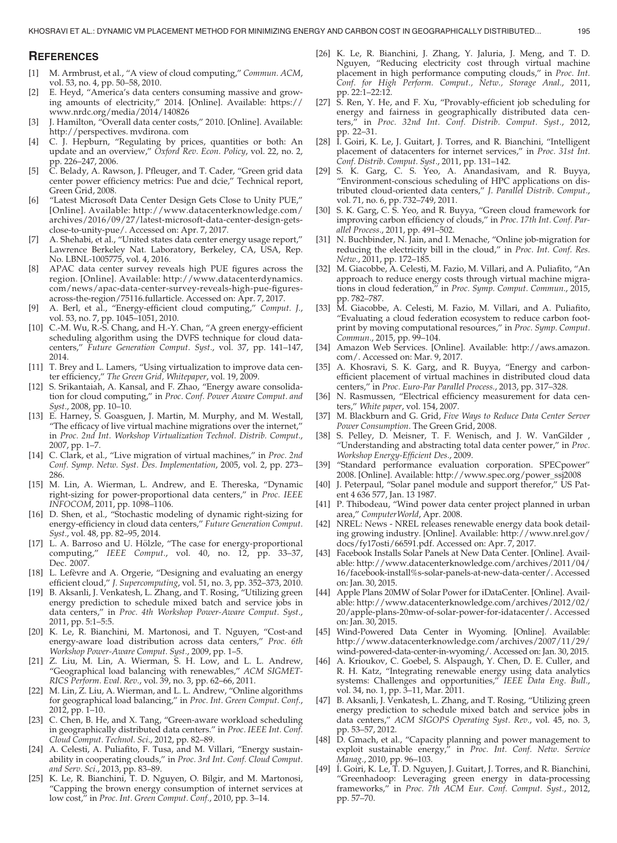#### **REFERENCES**

- [1] M. Armbrust, et al., "A view of cloud computing," Commun. ACM, vol. 53, no. 4, pp. 50–58, 2010.
- [2] E. Heyd, "America's data centers consuming massive and growing amounts of electricity," 2014. [Online]. Available: https:// www.nrdc.org/media/2014/140826
- [3] J. Hamilton, "Overall data center costs," 2010. [Online]. Available: http://perspectives. mvdirona. com
- [4] C. J. Hepburn, "Regulating by prices, quantities or both: An update and an overview," Oxford Rev. Econ. Policy, vol. 22, no. 2, pp. 226–247, 2006.
- [5] C. Belady, A. Rawson, J. Pfleuger, and T. Cader, "Green grid data center power efficiency metrics: Pue and dcie," Technical report, Green Grid, 2008.
- [6] "Latest Microsoft Data Center Design Gets Close to Unity PUE," [Online]. Available: http://www.datacenterknowledge.com/ archives/2016/09/27/latest-microsoft-data-center-design-getsclose-to-unity-pue/. Accessed on: Apr. 7, 2017.
- [7] A. Shehabi, et al., "United states data center energy usage report," Lawrence Berkeley Nat. Laboratory, Berkeley, CA, USA, Rep. No. LBNL-1005775, vol. 4, 2016.
- [8] APAC data center survey reveals high PUE figures across the region. [Online]. Available: http://www.datacenterdynamics. com/news/apac-data-center-survey-reveals-high-pue-figuresacross-the-region/75116.fullarticle. Accessed on: Apr. 7, 2017.
- A. Berl, et al., "Energy-efficient cloud computing," Comput. J., vol. 53, no. 7, pp. 1045–1051, 2010.
- [10] C.-M. Wu, R.-S. Chang, and H.-Y. Chan, "A green energy-efficient scheduling algorithm using the DVFS technique for cloud datacenters," Future Generation Comput. Syst., vol. 37, pp. 141–147, 2014.
- [11] T. Brey and L. Lamers, "Using virtualization to improve data center efficiency," The Green Grid, Whitepaper, vol. 19, 2009.
- [12] S. Srikantaiah, A. Kansal, and F. Zhao, "Energy aware consolidation for cloud computing," in Proc. Conf. Power Aware Comput. and Syst., 2008, pp. 10–10.
- [13] E. Harney, S. Goasguen, J. Martin, M. Murphy, and M. Westall, "The efficacy of live virtual machine migrations over the internet," in Proc. 2nd Int. Workshop Virtualization Technol. Distrib. Comput., 2007, pp. 1–7.
- [14] C. Clark, et al., "Live migration of virtual machines," in Proc. 2nd Conf. Symp. Netw. Syst. Des. Implementation, 2005, vol. 2, pp. 273– 286.
- [15] M. Lin, A. Wierman, L. Andrew, and E. Thereska, "Dynamic right-sizing for power-proportional data centers," in Proc. IEEE INFOCOM, 2011, pp. 1098–1106.
- [16] D. Shen, et al., "Stochastic modeling of dynamic right-sizing for energy-efficiency in cloud data centers," Future Generation Comput. Syst., vol. 48, pp. 82–95, 2014.
- [17] L. A. Barroso and U. Hölzle, "The case for energy-proportional computing," IEEE Comput., vol.  $40$ , no.  $12$ , pp.  $33-37$ , Dec. 2007.
- [18] L. Lefèvre and A. Orgerie, "Designing and evaluating an energy efficient cloud," J. Supercomputing, vol. 51, no. 3, pp. 352–373, 2010.
- [19] B. Aksanli, J. Venkatesh, L. Zhang, and T. Rosing, "Utilizing green energy prediction to schedule mixed batch and service jobs in data centers," in Proc. 4th Workshop Power-Aware Comput. Syst., 2011, pp. 5:1–5:5.
- [20] K. Le, R. Bianchini, M. Martonosi, and T. Nguyen, "Cost-and energy-aware load distribution across data centers," Proc. 6th Workshop Power-Aware Comput. Syst., 2009, pp. 1–5.
- [21] Z. Liu, M. Lin, A. Wierman, S. H. Low, and L. L. Andrew, "Geographical load balancing with renewables," ACM SIGMET-RICS Perform. Eval. Rev., vol. 39, no. 3, pp. 62–66, 2011.
- [22] M. Lin, Z. Liu, A. Wierman, and L. L. Andrew, "Online algorithms for geographical load balancing," in Proc. Int. Green Comput. Conf., 2012, pp. 1–10.
- [23] C. Chen, B. He, and X. Tang, "Green-aware workload scheduling in geographically distributed data centers." in Proc. IEEE Int. Conf. Cloud Comput. Technol. Sci., 2012, pp. 82–89.
- [24] A. Celesti, A. Puliafito, F. Tusa, and M. Villari, "Energy sustainability in cooperating clouds," in Proc. 3rd Int. Conf. Cloud Comput. and Serv. Sci., 2013, pp. 83–89.
- [25] K. Le, R. Bianchini, T. D. Nguyen, O. Bilgir, and M. Martonosi, "Capping the brown energy consumption of internet services at low cost," in Proc. Int. Green Comput. Conf., 2010, pp. 3-14.
- [26] K. Le, R. Bianchini, J. Zhang, Y. Jaluria, J. Meng, and T. D. Nguyen, "Reducing electricity cost through virtual machine placement in high performance computing clouds," in Proc. Int. Conf. for High Perform. Comput., Netw., Storage Anal., 2011, pp. 22:1–22:12.
- [27] S. Ren, Y. He, and F. Xu, "Provably-efficient job scheduling for energy and fairness in geographically distributed data cenin Proc. 32nd Int. Conf. Distrib. Comput. Syst., 2012, ters, $\begin{bmatrix} 1 \\ 2 \\ 1 \end{bmatrix}$  in pp. 22–31.
- [28] I. Goiri, K. Le, J. Guitart, J. Torres, and R. Bianchini, "Intelligent placement of datacenters for internet services," in Proc. 31st Int. Conf. Distrib. Comput. Syst., 2011, pp. 131–142.
- [29] S. K. Garg, C. S. Yeo, A. Anandasivam, and R. Buyya, "Environment-conscious scheduling of HPC applications on distributed cloud-oriented data centers," J. Parallel Distrib. Comput., vol. 71, no. 6, pp. 732–749, 2011.
- [30] S. K. Garg, C. S. Yeo, and R. Buyya, "Green cloud framework for improving carbon efficiency of clouds," in Proc. 17th Int. Conf. Parallel Process., 2011, pp. 491–502.
- [31] N. Buchbinder, N. Jain, and I. Menache, "Online job-migration for reducing the electricity bill in the cloud," in Proc. Int. Conf. Res. Netw., 2011, pp. 172–185.
- [32] M. Giacobbe, A. Celesti, M. Fazio, M. Villari, and A. Puliafito, "An approach to reduce energy costs through virtual machine migrations in cloud federation," in Proc. Symp. Comput. Commun., 2015, pp. 782–787.
- [33] M. Giacobbe, A. Celesti, M. Fazio, M. Villari, and A. Puliafito, "Evaluating a cloud federation ecosystem to reduce carbon footprint by moving computational resources," in Proc. Symp. Comput. Commun., 2015, pp. 99–104.
- [34] Amazon Web Services. [Online]. Available: http://aws.amazon. com/. Accessed on: Mar. 9, 2017.
- [35] A. Khosravi, S. K. Garg, and R. Buyya, "Energy and carbonefficient placement of virtual machines in distributed cloud data centers," in Proc. Euro-Par Parallel Process., 2013, pp. 317–328.
- [36] N. Rasmussen, "Electrical efficiency measurement for data centers," White paper, vol. 154, 2007.
- [37] M. Blackburn and G. Grid, Five Ways to Reduce Data Center Server Power Consumption. The Green Grid, 2008.
- [38] S. Pelley, D. Meisner, T. F. Wenisch, and J. W. VanGilder, "Understanding and abstracting total data center power," in Proc. Workshop Energy-Efficient Des., 2009.
- [39] "Standard performance evaluation corporation. SPECpower" 2008. [Online]. Available: http://www.spec.org/power\_ssj2008
- [40] J. Peterpaul, "Solar panel module and support therefor," US Patent 4 636 577, Jan. 13 1987.
- [41] P. Thibodeau, "Wind power data center project planned in urban area," ComputerWorld, Apr. 2008.
- [42] NREL: News NREL releases renewable energy data book detailing growing industry. [Online]. Available: http://www.nrel.gov/ docs/fy17osti/66591.pdf. Accessed on: Apr. 7, 2017.
- [43] Facebook Installs Solar Panels at New Data Center. [Online]. Available: http://www.datacenterknowledge.com/archives/2011/04/ 16/facebook-install%s-solar-panels-at-new-data-center/. Accessed on: Jan. 30, 2015.
- [44] Apple Plans 20MW of Solar Power for iDataCenter. [Online]. Available: http://www.datacenterknowledge.com/archives/2012/02/ 20/apple-plans-20mw-of-solar-power-for-idatacenter/. Accessed on: Jan. 30, 2015.
- [45] Wind-Powered Data Center in Wyoming. [Online]. Available: http://www.datacenterknowledge.com/archives/2007/11/29/ wind-powered-data-center-in-wyoming/. Accessed on: Jan. 30, 2015.
- [46] A. Krioukov, C. Goebel, S. Alspaugh, Y. Chen, D. E. Culler, and R. H. Katz, "Integrating renewable energy using data analytics systems: Challenges and opportunities," IEEE Data Eng. Bull., vol. 34, no. 1, pp. 3–11, Mar. 2011.
- [47] B. Aksanli, J. Venkatesh, L. Zhang, and T. Rosing, "Utilizing green energy prediction to schedule mixed batch and service jobs in data centers," ACM SIGOPS Operating Syst. Rev., vol. 45, no. 3, pp. 53–57, 2012.
- [48]  $\overrightarrow{D}$ . Gmach, et al., "Capacity planning and power management to exploit sustainable energy," in Proc. Int. Conf. Netw. Service Manag., 2010, pp. 96–103.
- [49] I. Goiri, K. Le, T. D. Nguyen, J. Guitart, J. Torres, and R. Bianchini, "Greenhadoop: Leveraging green energy in data-processing frameworks," in Proc. 7th ACM Eur. Conf. Comput. Syst., 2012, pp. 57–70.